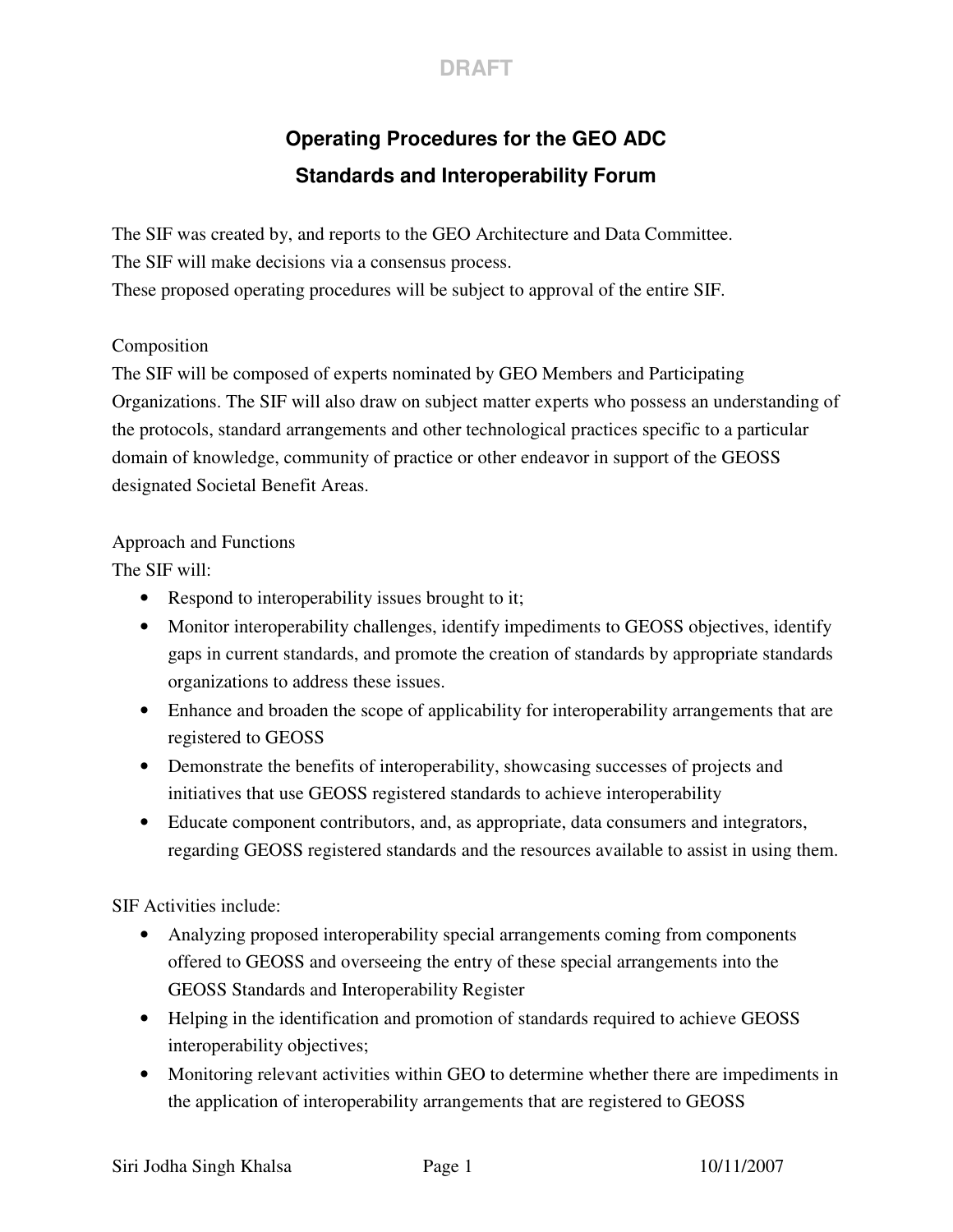

# **Operating Procedures for the GEO ADC Standards and Interoperability Forum**

The SIF was created by, and reports to the GEO Architecture and Data Committee. The SIF will make decisions via a consensus process.

These proposed operating procedures will be subject to approval of the entire SIF.

### Composition

The SIF will be composed of experts nominated by GEO Members and Participating Organizations. The SIF will also draw on subject matter experts who possess an understanding of the protocols, standard arrangements and other technological practices specific to a particular domain of knowledge, community of practice or other endeavor in support of the GEOSS designated Societal Benefit Areas.

#### Approach and Functions

The SIF will:

- Respond to interoperability issues brought to it;
- Monitor interoperability challenges, identify impediments to GEOSS objectives, identify gaps in current standards, and promote the creation of standards by appropriate standards organizations to address these issues.
- Enhance and broaden the scope of applicability for interoperability arrangements that are registered to GEOSS
- Demonstrate the benefits of interoperability, showcasing successes of projects and initiatives that use GEOSS registered standards to achieve interoperability
- Educate component contributors, and, as appropriate, data consumers and integrators, regarding GEOSS registered standards and the resources available to assist in using them.

SIF Activities include:

- Analyzing proposed interoperability special arrangements coming from components offered to GEOSS and overseeing the entry of these special arrangements into the GEOSS Standards and Interoperability Register
- Helping in the identification and promotion of standards required to achieve GEOSS interoperability objectives;
- Monitoring relevant activities within GEO to determine whether there are impediments in the application of interoperability arrangements that are registered to GEOSS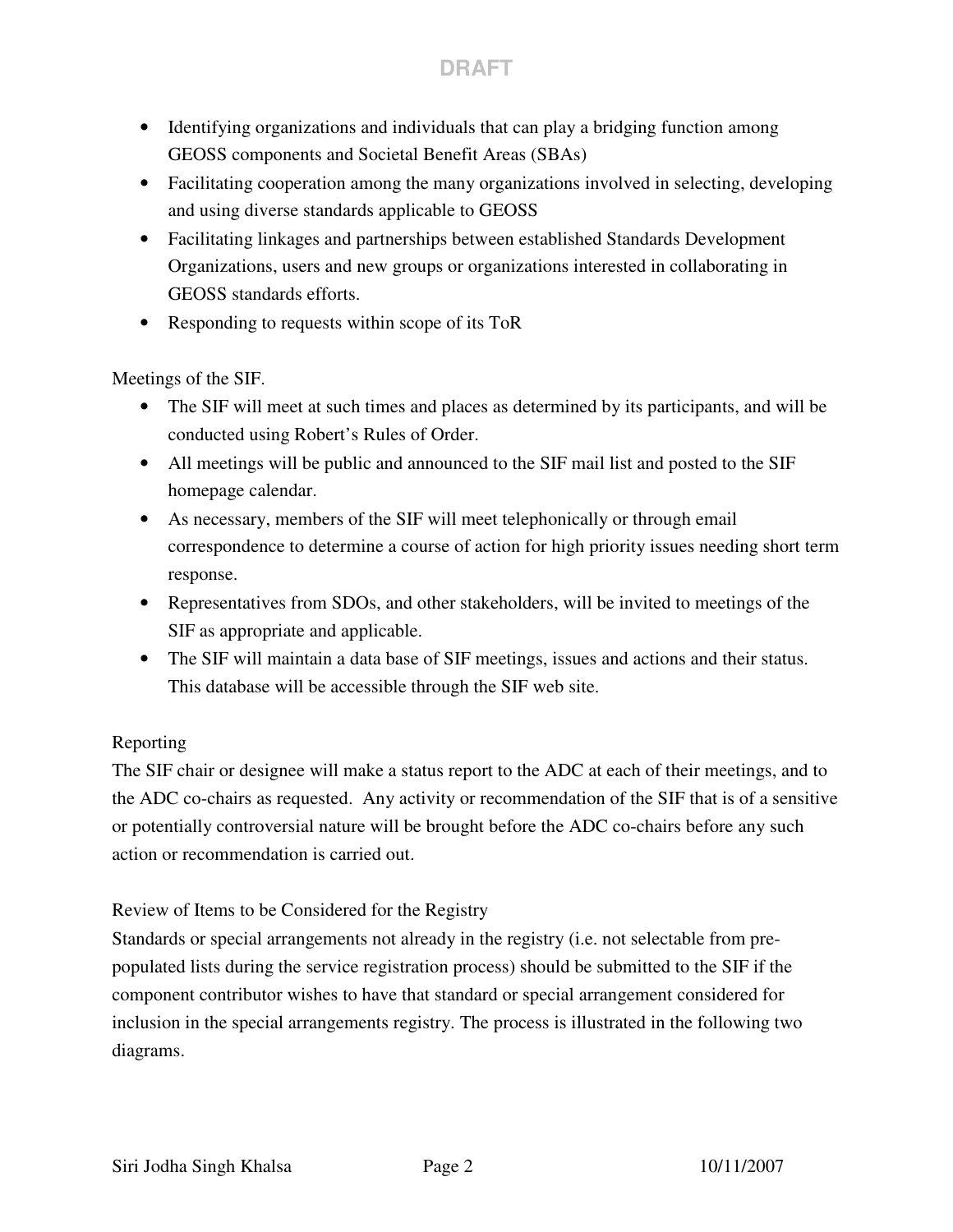## **DRAFT**

- Identifying organizations and individuals that can play a bridging function among GEOSS components and Societal Benefit Areas (SBAs)
- Facilitating cooperation among the many organizations involved in selecting, developing and using diverse standards applicable to GEOSS
- Facilitating linkages and partnerships between established Standards Development Organizations, users and new groups or organizations interested in collaborating in GEOSS standards efforts.
- Responding to requests within scope of its ToR

Meetings of the SIF.

- The SIF will meet at such times and places as determined by its participants, and will be conducted using Robert's Rules of Order.
- All meetings will be public and announced to the SIF mail list and posted to the SIF homepage calendar.
- As necessary, members of the SIF will meet telephonically or through email correspondence to determine a course of action for high priority issues needing short term response.
- Representatives from SDOs, and other stakeholders, will be invited to meetings of the SIF as appropriate and applicable.
- The SIF will maintain a data base of SIF meetings, issues and actions and their status. This database will be accessible through the SIF web site.

#### Reporting

The SIF chair or designee will make a status report to the ADC at each of their meetings, and to the ADC co-chairs as requested. Any activity or recommendation of the SIF that is of a sensitive or potentially controversial nature will be brought before the ADC co-chairs before any such action or recommendation is carried out.

#### Review of Items to be Considered for the Registry

Standards or special arrangements not already in the registry (i.e. not selectable from prepopulated lists during the service registration process) should be submitted to the SIF if the component contributor wishes to have that standard or special arrangement considered for inclusion in the special arrangements registry. The process is illustrated in the following two diagrams.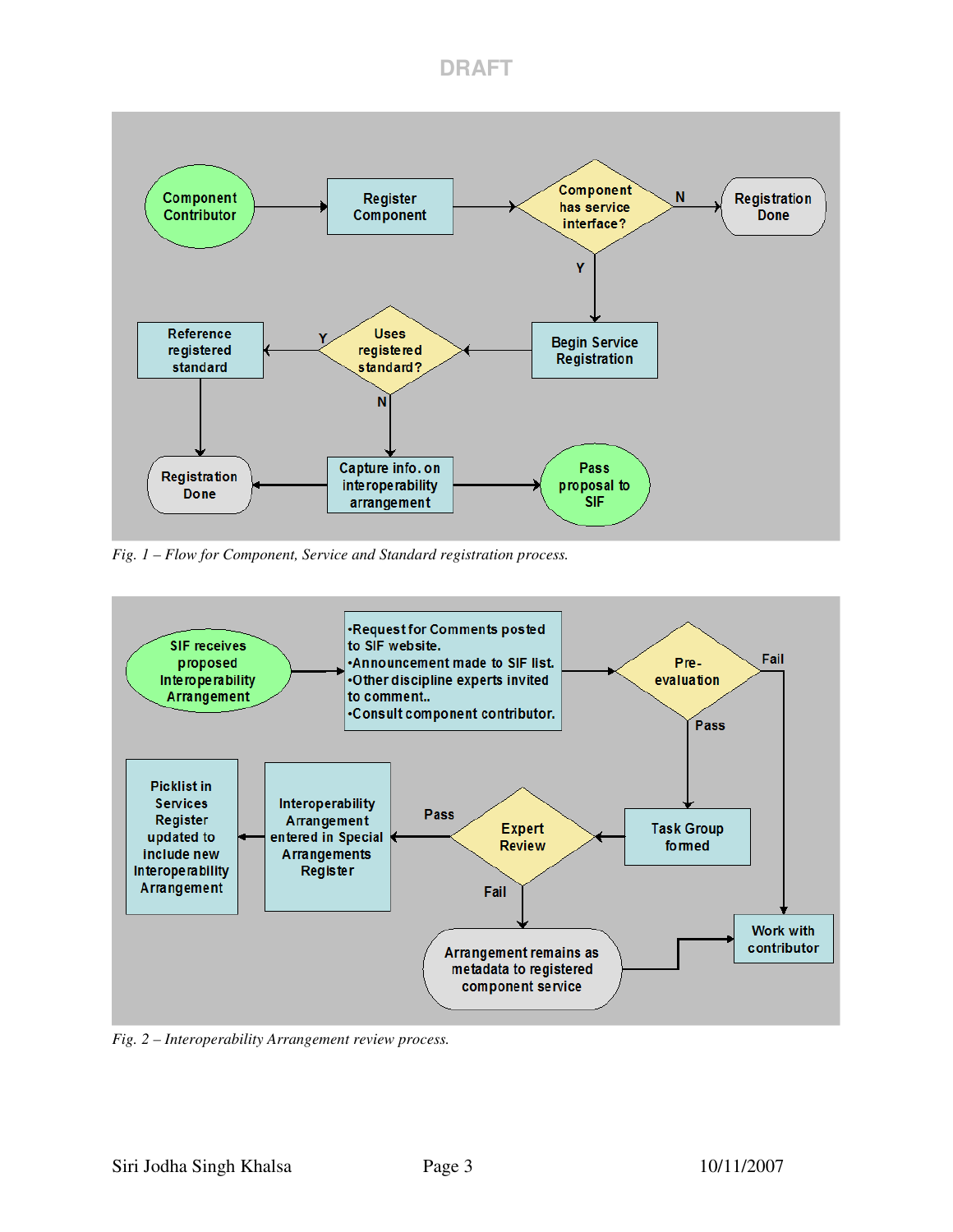

*Fig. 1 – Flow for Component, Service and Standard registration process.*



*Fig. 2 – Interoperability Arrangement review process.*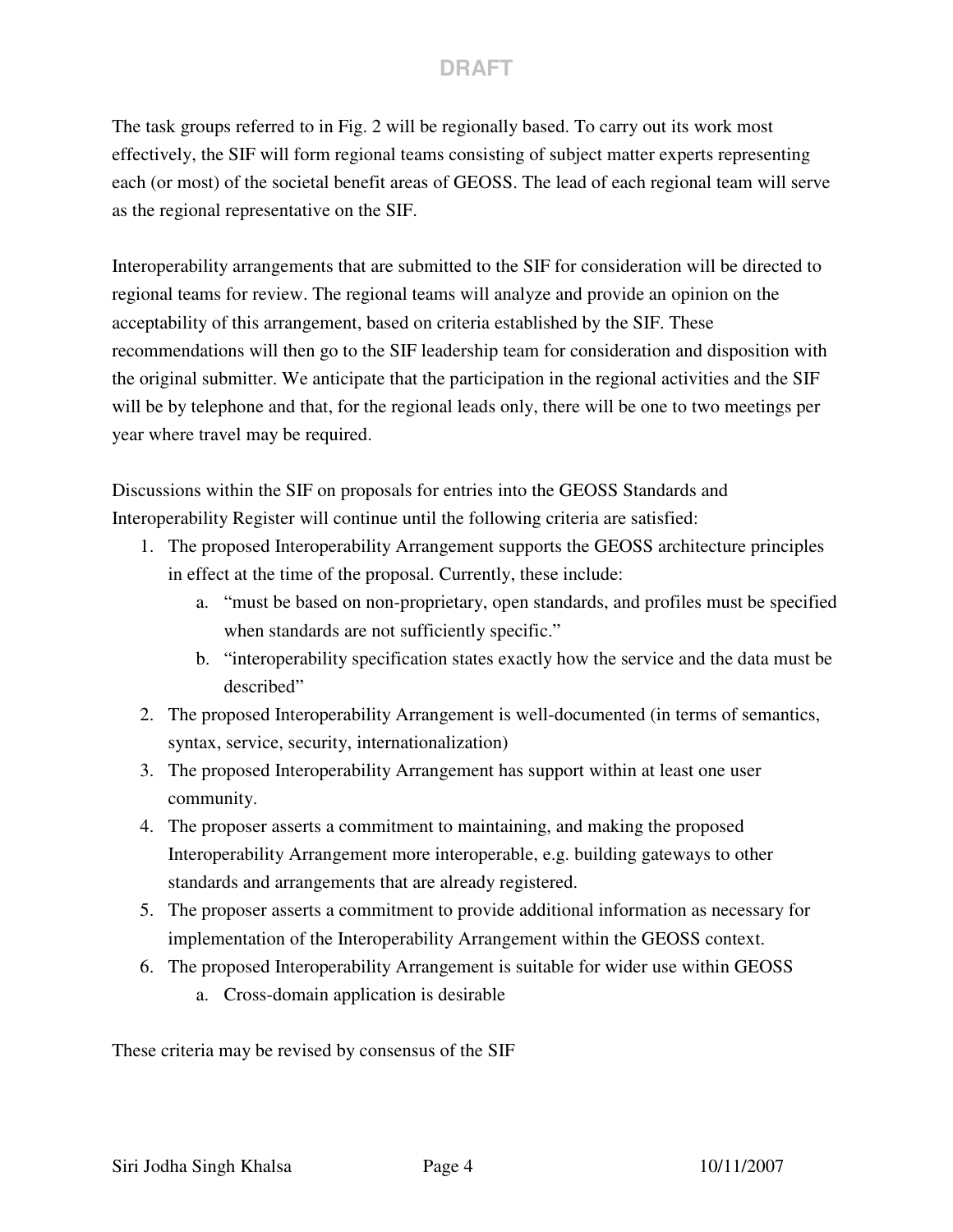## **DRAFT**

The task groups referred to in Fig. 2 will be regionally based. To carry out its work most effectively, the SIF will form regional teams consisting of subject matter experts representing each (or most) of the societal benefit areas of GEOSS. The lead of each regional team will serve as the regional representative on the SIF.

Interoperability arrangements that are submitted to the SIF for consideration will be directed to regional teams for review. The regional teams will analyze and provide an opinion on the acceptability of this arrangement, based on criteria established by the SIF. These recommendations will then go to the SIF leadership team for consideration and disposition with the original submitter. We anticipate that the participation in the regional activities and the SIF will be by telephone and that, for the regional leads only, there will be one to two meetings per year where travel may be required.

Discussions within the SIF on proposals for entries into the GEOSS Standards and Interoperability Register will continue until the following criteria are satisfied:

- 1. The proposed Interoperability Arrangement supports the GEOSS architecture principles in effect at the time of the proposal. Currently, these include:
	- a. "must be based on non-proprietary, open standards, and profiles must be specified when standards are not sufficiently specific."
	- b. "interoperability specification states exactly how the service and the data must be described"
- 2. The proposed Interoperability Arrangement is well-documented (in terms of semantics, syntax, service, security, internationalization)
- 3. The proposed Interoperability Arrangement has support within at least one user community.
- 4. The proposer asserts a commitment to maintaining, and making the proposed Interoperability Arrangement more interoperable, e.g. building gateways to other standards and arrangements that are already registered.
- 5. The proposer asserts a commitment to provide additional information as necessary for implementation of the Interoperability Arrangement within the GEOSS context.
- 6. The proposed Interoperability Arrangement is suitable for wider use within GEOSS
	- a. Cross-domain application is desirable

These criteria may be revised by consensus of the SIF